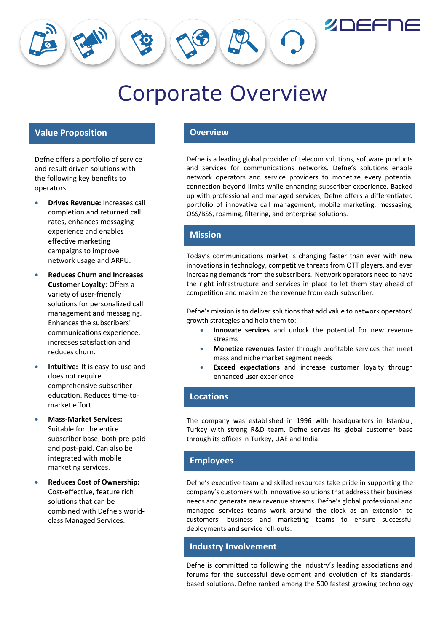**ZDEFI** 

# Corporate Overview

# **Value Proposition Overview**

Defne offers a portfolio of service and result driven solutions with the following key benefits to operators:

- **Drives Revenue:** Increases call completion and returned call rates, enhances messaging experience and enables effective marketing campaigns to improve network usage and ARPU.
- **Reduces Churn and Increases Customer Loyalty:** Offers a variety of user-friendly solutions for personalized call management and messaging. Enhances the subscribers' communications experience, increases satisfaction and reduces churn.
- **Intuitive:** It is easy-to-use and does not require comprehensive subscriber education. Reduces time-tomarket effort.
- **Mass-Market Services:** Suitable for the entire subscriber base, both pre-paid and post-paid. Can also be integrated with mobile marketing services.
- **Reduces Cost of Ownership:** Cost-effective, feature rich solutions that can be combined with Defne's worldclass Managed Services.

Defne is a leading global provider of telecom solutions, software products and services for communications networks. Defne's solutions enable network operators and service providers to monetize every potential connection beyond limits while enhancing subscriber experience. Backed up with professional and managed services, Defne offers a differentiated portfolio of innovative call management, mobile marketing, messaging, OSS/BSS, roaming, filtering, and enterprise solutions.

# **Mission**

Today's communications market is changing faster than ever with new innovations in technology, competitive threats from OTT players, and ever increasing demands from the subscribers. Network operators need to have the right infrastructure and services in place to let them stay ahead of competition and maximize the revenue from each subscriber.

Defne's mission is to deliver solutions that add value to network operators' growth strategies and help them to:

- **Innovate services** and unlock the potential for new revenue streams
- **Monetize revenues** faster through profitable services that meet mass and niche market segment needs
- **Exceed expectations** and increase customer loyalty through enhanced user experience

### **Locations**

The company was established in 1996 with headquarters in Istanbul, Turkey with strong R&D team. Defne serves its global customer base through its offices in Turkey, UAE and India.

### **Employees**

Defne's executive team and skilled resources take pride in supporting the company's customers with innovative solutions that address their business needs and generate new revenue streams. Defne's global professional and managed services teams work around the clock as an extension to customers' business and marketing teams to ensure successful deployments and service roll-outs.

### **Industry Involvement**

Defne is committed to following the industry's leading associations and forums for the successful development and evolution of its standardsbased solutions. Defne ranked among the 500 fastest growing technology